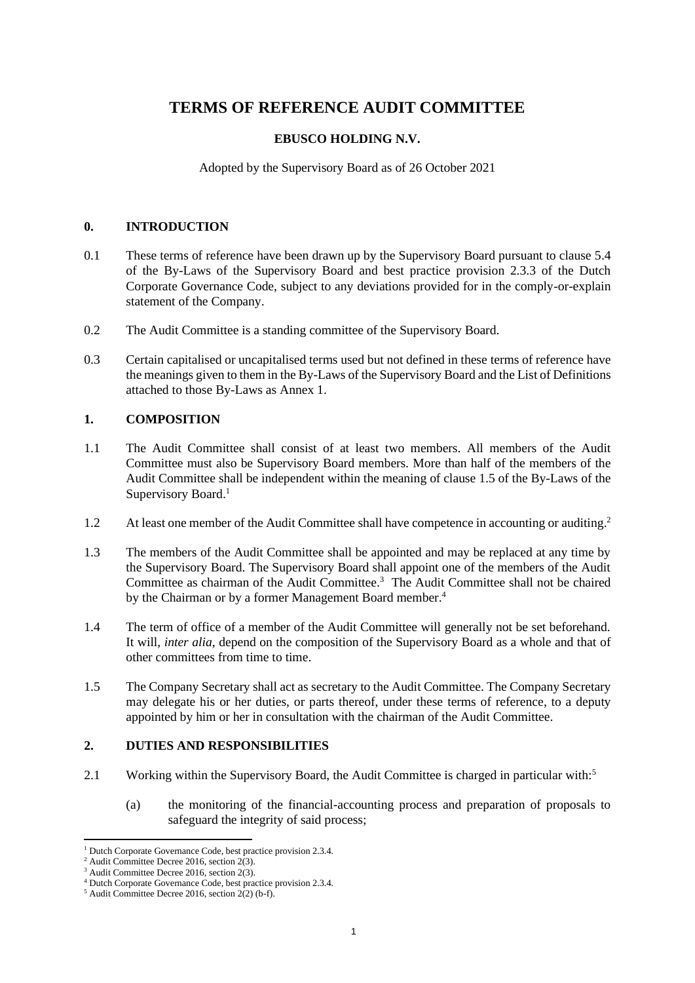# **TERMS OF REFERENCE AUDIT COMMITTEE**

# **EBUSCO HOLDING N.V.**

Adopted by the Supervisory Board as of 26 October 2021

# **0. INTRODUCTION**

- 0.1 These terms of reference have been drawn up by the Supervisory Board pursuant to clause 5.4 of the By-Laws of the Supervisory Board and best practice provision 2.3.3 of the Dutch Corporate Governance Code, subject to any deviations provided for in the comply-or-explain statement of the Company.
- 0.2 The Audit Committee is a standing committee of the Supervisory Board.
- 0.3 Certain capitalised or uncapitalised terms used but not defined in these terms of reference have the meanings given to them in the By-Laws of the Supervisory Board and the List of Definitions attached to those By-Laws as Annex 1.

# **1. COMPOSITION**

- 1.1 The Audit Committee shall consist of at least two members. All members of the Audit Committee must also be Supervisory Board members. More than half of the members of the Audit Committee shall be independent within the meaning of clause 1.5 of the By-Laws of the Supervisory Board. 1
- 1.2 At least one member of the Audit Committee shall have competence in accounting or auditing.<sup>2</sup>
- 1.3 The members of the Audit Committee shall be appointed and may be replaced at any time by the Supervisory Board. The Supervisory Board shall appoint one of the members of the Audit Committee as chairman of the Audit Committee.<sup>3</sup> The Audit Committee shall not be chaired by the Chairman or by a former Management Board member.<sup>4</sup>
- 1.4 The term of office of a member of the Audit Committee will generally not be set beforehand. It will, *inter alia*, depend on the composition of the Supervisory Board as a whole and that of other committees from time to time.
- 1.5 The Company Secretary shall act as secretary to the Audit Committee. The Company Secretary may delegate his or her duties, or parts thereof, under these terms of reference, to a deputy appointed by him or her in consultation with the chairman of the Audit Committee.

# <span id="page-0-0"></span>**2. DUTIES AND RESPONSIBILITIES**

- 2.1 Working within the Supervisory Board, the Audit Committee is charged in particular with:<sup>5</sup>
	- (a) the monitoring of the financial-accounting process and preparation of proposals to safeguard the integrity of said process;

<sup>1</sup> Dutch Corporate Governance Code, best practice provision 2.3.4.

 $2$  Audit Committee Decree 2016, section 2(3).

<sup>3</sup> Audit Committee Decree 2016, section 2(3).

<sup>4</sup> Dutch Corporate Governance Code, best practice provision 2.3.4.

 $5$  Audit Committee Decree 2016, section 2(2) (b-f).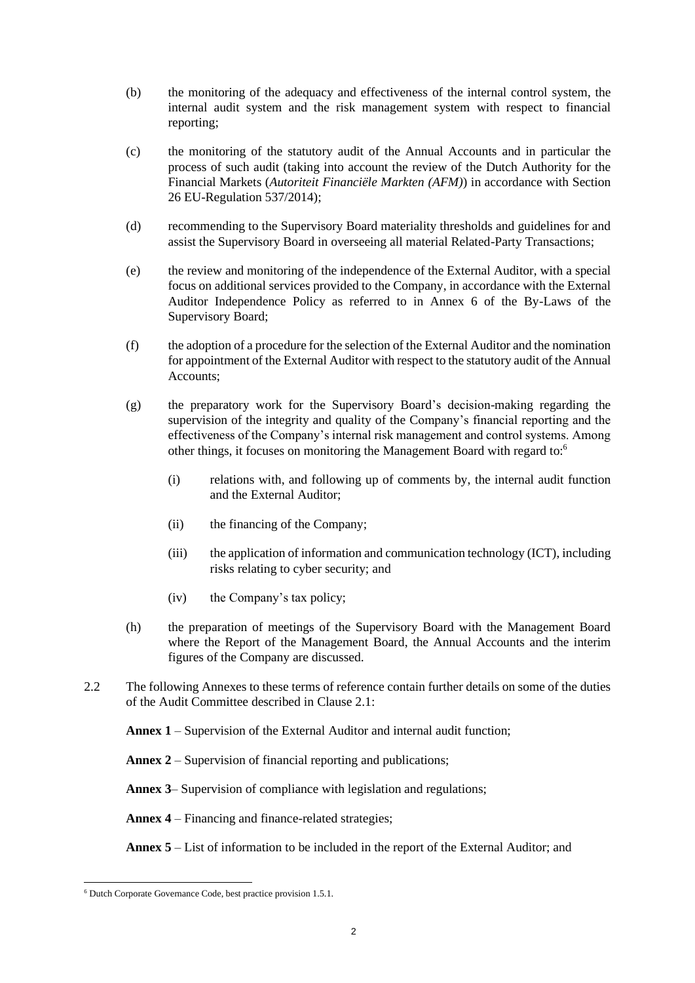- (b) the monitoring of the adequacy and effectiveness of the internal control system, the internal audit system and the risk management system with respect to financial reporting;
- (c) the monitoring of the statutory audit of the Annual Accounts and in particular the process of such audit (taking into account the review of the Dutch Authority for the Financial Markets (*Autoriteit Financiële Markten (AFM)*) in accordance with Section 26 EU-Regulation 537/2014);
- (d) recommending to the Supervisory Board materiality thresholds and guidelines for and assist the Supervisory Board in overseeing all material Related-Party Transactions;
- (e) the review and monitoring of the independence of the External Auditor, with a special focus on additional services provided to the Company, in accordance with the External Auditor Independence Policy as referred to in Annex 6 of the By-Laws of the Supervisory Board;
- (f) the adoption of a procedure for the selection of the External Auditor and the nomination for appointment of the External Auditor with respect to the statutory audit of the Annual Accounts;
- (g) the preparatory work for the Supervisory Board's decision-making regarding the supervision of the integrity and quality of the Company's financial reporting and the effectiveness of the Company's internal risk management and control systems. Among other things, it focuses on monitoring the Management Board with regard to:<sup>6</sup>
	- (i) relations with, and following up of comments by, the internal audit function and the External Auditor;
	- (ii) the financing of the Company;
	- (iii) the application of information and communication technology (ICT), including risks relating to cyber security; and
	- (iv) the Company's tax policy;
- (h) the preparation of meetings of the Supervisory Board with the Management Board where the Report of the Management Board, the Annual Accounts and the interim figures of the Company are discussed.
- 2.2 The following Annexes to these terms of reference contain further details on some of the duties of the Audit Committee described in Clause [2.1:](#page-0-0)

**[Annex 1](#page-6-0)** – Supervision of the External Auditor and internal audit function;

**[Annex 2](#page-8-0)** – Supervision of financial reporting and publications;

**[Annex 3](#page-9-0)**– Supervision of compliance with legislation and regulations;

**[Annex 4](#page-10-0)** – Financing and finance-related strategies;

**[Annex 5](#page-11-0)** – List of information to be included in the report of the External Auditor; and

<sup>6</sup> Dutch Corporate Governance Code, best practice provision 1.5.1.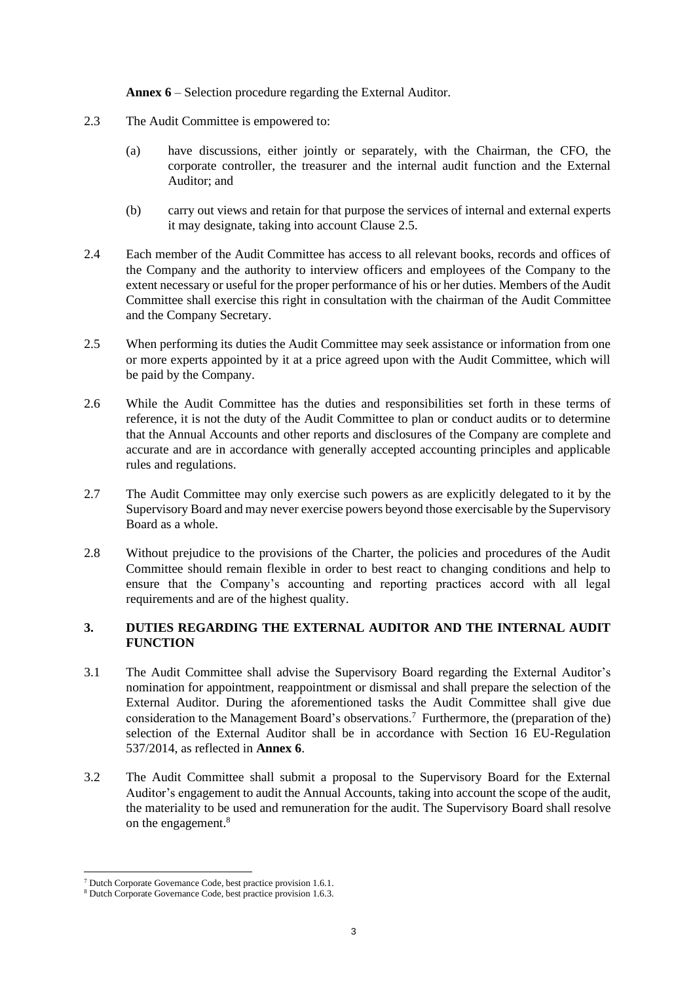**[Annex 6](#page-12-0)** – Selection procedure regarding the External Auditor.

- 2.3 The Audit Committee is empowered to:
	- (a) have discussions, either jointly or separately, with the Chairman, the CFO, the corporate controller, the treasurer and the internal audit function and the External Auditor; and
	- (b) carry out views and retain for that purpose the services of internal and external experts it may designate, taking into account Clause [2.5.](#page-2-0)
- 2.4 Each member of the Audit Committee has access to all relevant books, records and offices of the Company and the authority to interview officers and employees of the Company to the extent necessary or useful for the proper performance of his or her duties. Members of the Audit Committee shall exercise this right in consultation with the chairman of the Audit Committee and the Company Secretary.
- <span id="page-2-0"></span>2.5 When performing its duties the Audit Committee may seek assistance or information from one or more experts appointed by it at a price agreed upon with the Audit Committee, which will be paid by the Company.
- 2.6 While the Audit Committee has the duties and responsibilities set forth in these terms of reference, it is not the duty of the Audit Committee to plan or conduct audits or to determine that the Annual Accounts and other reports and disclosures of the Company are complete and accurate and are in accordance with generally accepted accounting principles and applicable rules and regulations.
- 2.7 The Audit Committee may only exercise such powers as are explicitly delegated to it by the Supervisory Board and may never exercise powers beyond those exercisable by the Supervisory Board as a whole.
- 2.8 Without prejudice to the provisions of the Charter, the policies and procedures of the Audit Committee should remain flexible in order to best react to changing conditions and help to ensure that the Company's accounting and reporting practices accord with all legal requirements and are of the highest quality.

# **3. DUTIES REGARDING THE EXTERNAL AUDITOR AND THE INTERNAL AUDIT FUNCTION**

- <span id="page-2-1"></span>3.1 The Audit Committee shall advise the Supervisory Board regarding the External Auditor's nomination for appointment, reappointment or dismissal and shall prepare the selection of the External Auditor. During the aforementioned tasks the Audit Committee shall give due consideration to the Management Board's observations. <sup>7</sup> Furthermore, the (preparation of the) selection of the External Auditor shall be in accordance with Section 16 EU-Regulation 537/2014, as reflected in **[Annex 6](#page-12-0)**.
- 3.2 The Audit Committee shall submit a proposal to the Supervisory Board for the External Auditor's engagement to audit the Annual Accounts, taking into account the scope of the audit, the materiality to be used and remuneration for the audit. The Supervisory Board shall resolve on the engagement.<sup>8</sup>

<sup>7</sup> Dutch Corporate Governance Code, best practice provision 1.6.1.

<sup>&</sup>lt;sup>8</sup> Dutch Corporate Governance Code, best practice provision 1.6.3.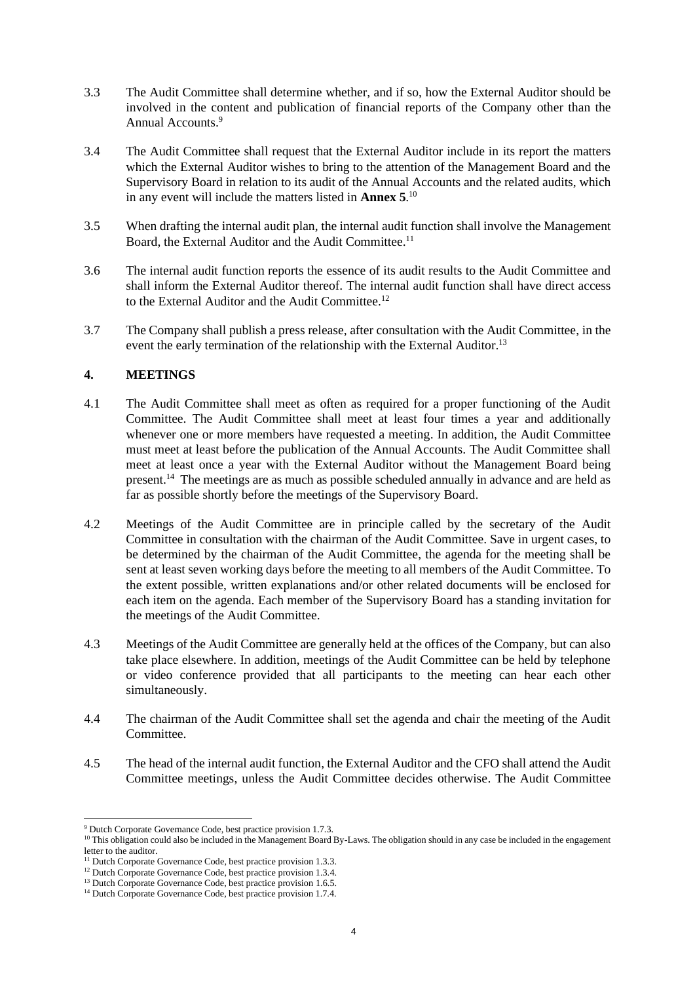- 3.3 The Audit Committee shall determine whether, and if so, how the External Auditor should be involved in the content and publication of financial reports of the Company other than the Annual Accounts.<sup>9</sup>
- 3.4 The Audit Committee shall request that the External Auditor include in its report the matters which the External Auditor wishes to bring to the attention of the Management Board and the Supervisory Board in relation to its audit of the Annual Accounts and the related audits, which in any event will include the matters listed in **[Annex 5](#page-11-0)**. 10
- 3.5 When drafting the internal audit plan, the internal audit function shall involve the Management Board, the External Auditor and the Audit Committee.<sup>11</sup>
- 3.6 The internal audit function reports the essence of its audit results to the Audit Committee and shall inform the External Auditor thereof. The internal audit function shall have direct access to the External Auditor and the Audit Committee.<sup>12</sup>
- 3.7 The Company shall publish a press release, after consultation with the Audit Committee, in the event the early termination of the relationship with the External Auditor.<sup>13</sup>

# **4. MEETINGS**

- 4.1 The Audit Committee shall meet as often as required for a proper functioning of the Audit Committee. The Audit Committee shall meet at least four times a year and additionally whenever one or more members have requested a meeting. In addition, the Audit Committee must meet at least before the publication of the Annual Accounts. The Audit Committee shall meet at least once a year with the External Auditor without the Management Board being present.<sup>14</sup> The meetings are as much as possible scheduled annually in advance and are held as far as possible shortly before the meetings of the Supervisory Board.
- 4.2 Meetings of the Audit Committee are in principle called by the secretary of the Audit Committee in consultation with the chairman of the Audit Committee. Save in urgent cases, to be determined by the chairman of the Audit Committee, the agenda for the meeting shall be sent at least seven working days before the meeting to all members of the Audit Committee. To the extent possible, written explanations and/or other related documents will be enclosed for each item on the agenda. Each member of the Supervisory Board has a standing invitation for the meetings of the Audit Committee.
- 4.3 Meetings of the Audit Committee are generally held at the offices of the Company, but can also take place elsewhere. In addition, meetings of the Audit Committee can be held by telephone or video conference provided that all participants to the meeting can hear each other simultaneously.
- 4.4 The chairman of the Audit Committee shall set the agenda and chair the meeting of the Audit Committee.
- 4.5 The head of the internal audit function, the External Auditor and the CFO shall attend the Audit Committee meetings, unless the Audit Committee decides otherwise. The Audit Committee

<sup>9</sup> Dutch Corporate Governance Code, best practice provision 1.7.3.

 $10$  This obligation could also be included in the Management Board By-Laws. The obligation should in any case be included in the engagement letter to the auditor.

<sup>&</sup>lt;sup>11</sup> Dutch Corporate Governance Code, best practice provision 1.3.3.

<sup>&</sup>lt;sup>12</sup> Dutch Corporate Governance Code, best practice provision 1.3.4.

<sup>&</sup>lt;sup>13</sup> Dutch Corporate Governance Code, best practice provision 1.6.5.

<sup>&</sup>lt;sup>14</sup> Dutch Corporate Governance Code, best practice provision 1.7.4.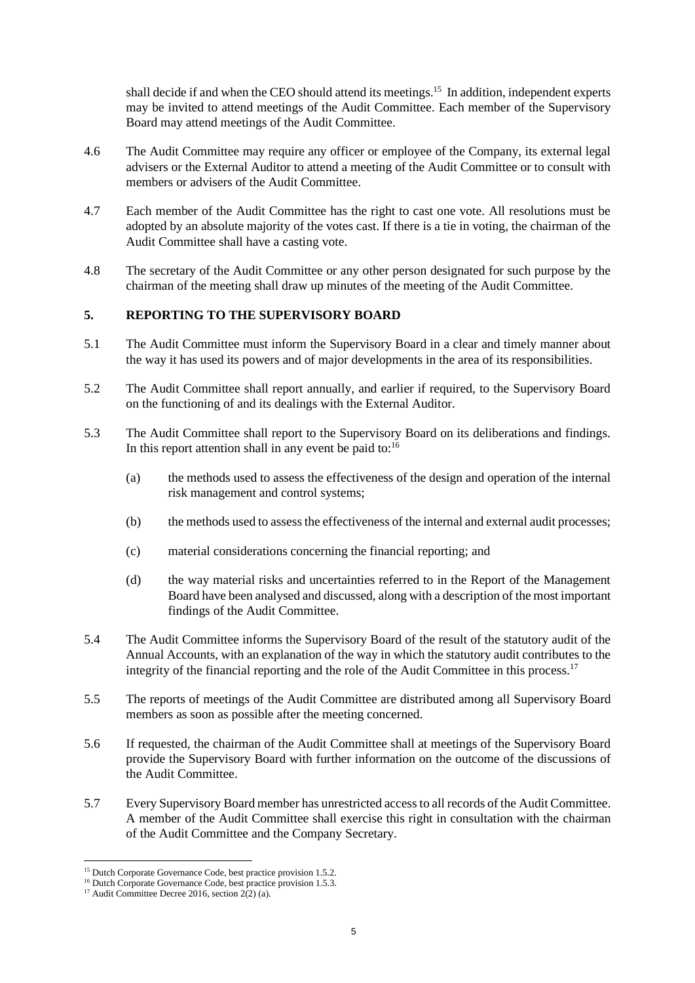shall decide if and when the CEO should attend its meetings.<sup>15</sup> In addition, independent experts may be invited to attend meetings of the Audit Committee. Each member of the Supervisory Board may attend meetings of the Audit Committee.

- 4.6 The Audit Committee may require any officer or employee of the Company, its external legal advisers or the External Auditor to attend a meeting of the Audit Committee or to consult with members or advisers of the Audit Committee.
- 4.7 Each member of the Audit Committee has the right to cast one vote. All resolutions must be adopted by an absolute majority of the votes cast. If there is a tie in voting, the chairman of the Audit Committee shall have a casting vote.
- 4.8 The secretary of the Audit Committee or any other person designated for such purpose by the chairman of the meeting shall draw up minutes of the meeting of the Audit Committee.

# **5. REPORTING TO THE SUPERVISORY BOARD**

- 5.1 The Audit Committee must inform the Supervisory Board in a clear and timely manner about the way it has used its powers and of major developments in the area of its responsibilities.
- 5.2 The Audit Committee shall report annually, and earlier if required, to the Supervisory Board on the functioning of and its dealings with the External Auditor.
- 5.3 The Audit Committee shall report to the Supervisory Board on its deliberations and findings. In this report attention shall in any event be paid to: $16$ 
	- (a) the methods used to assess the effectiveness of the design and operation of the internal risk management and control systems;
	- (b) the methods used to assess the effectiveness of the internal and external audit processes;
	- (c) material considerations concerning the financial reporting; and
	- (d) the way material risks and uncertainties referred to in the Report of the Management Board have been analysed and discussed, along with a description of the most important findings of the Audit Committee.
- 5.4 The Audit Committee informs the Supervisory Board of the result of the statutory audit of the Annual Accounts, with an explanation of the way in which the statutory audit contributes to the integrity of the financial reporting and the role of the Audit Committee in this process.<sup>17</sup>
- 5.5 The reports of meetings of the Audit Committee are distributed among all Supervisory Board members as soon as possible after the meeting concerned.
- 5.6 If requested, the chairman of the Audit Committee shall at meetings of the Supervisory Board provide the Supervisory Board with further information on the outcome of the discussions of the Audit Committee.
- 5.7 Every Supervisory Board member has unrestricted access to all records of the Audit Committee. A member of the Audit Committee shall exercise this right in consultation with the chairman of the Audit Committee and the Company Secretary.

<sup>&</sup>lt;sup>15</sup> Dutch Corporate Governance Code, best practice provision 1.5.2.

<sup>&</sup>lt;sup>16</sup> Dutch Corporate Governance Code, best practice provision 1.5.3.

<sup>&</sup>lt;sup>17</sup> Audit Committee Decree 2016, section  $2(2)$  (a).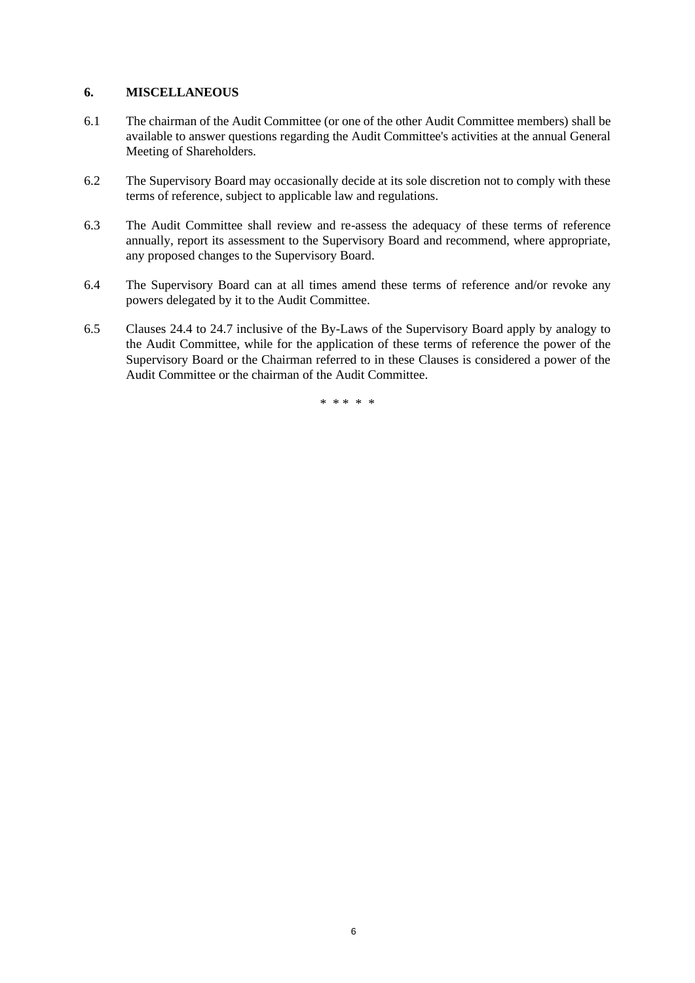# **6. MISCELLANEOUS**

- 6.1 The chairman of the Audit Committee (or one of the other Audit Committee members) shall be available to answer questions regarding the Audit Committee's activities at the annual General Meeting of Shareholders.
- 6.2 The Supervisory Board may occasionally decide at its sole discretion not to comply with these terms of reference, subject to applicable law and regulations.
- 6.3 The Audit Committee shall review and re-assess the adequacy of these terms of reference annually, report its assessment to the Supervisory Board and recommend, where appropriate, any proposed changes to the Supervisory Board.
- 6.4 The Supervisory Board can at all times amend these terms of reference and/or revoke any powers delegated by it to the Audit Committee.
- 6.5 Clauses 24.4 to 24.7 inclusive of the By-Laws of the Supervisory Board apply by analogy to the Audit Committee, while for the application of these terms of reference the power of the Supervisory Board or the Chairman referred to in these Clauses is considered a power of the Audit Committee or the chairman of the Audit Committee.

\* \* \* \* \*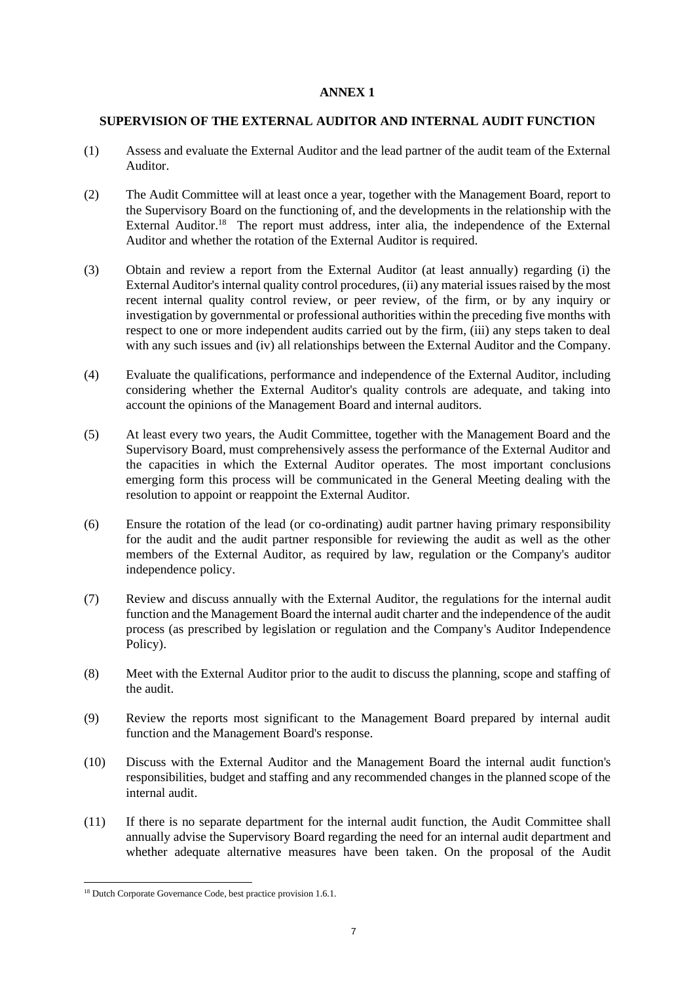# <span id="page-6-0"></span>**SUPERVISION OF THE EXTERNAL AUDITOR AND INTERNAL AUDIT FUNCTION**

- (1) Assess and evaluate the External Auditor and the lead partner of the audit team of the External Auditor.
- (2) The Audit Committee will at least once a year, together with the Management Board, report to the Supervisory Board on the functioning of, and the developments in the relationship with the External Auditor.<sup>18</sup> The report must address, inter alia, the independence of the External Auditor and whether the rotation of the External Auditor is required.
- (3) Obtain and review a report from the External Auditor (at least annually) regarding (i) the External Auditor's internal quality control procedures, (ii) any material issues raised by the most recent internal quality control review, or peer review, of the firm, or by any inquiry or investigation by governmental or professional authorities within the preceding five months with respect to one or more independent audits carried out by the firm, (iii) any steps taken to deal with any such issues and (iv) all relationships between the External Auditor and the Company.
- (4) Evaluate the qualifications, performance and independence of the External Auditor, including considering whether the External Auditor's quality controls are adequate, and taking into account the opinions of the Management Board and internal auditors.
- (5) At least every two years, the Audit Committee, together with the Management Board and the Supervisory Board, must comprehensively assess the performance of the External Auditor and the capacities in which the External Auditor operates. The most important conclusions emerging form this process will be communicated in the General Meeting dealing with the resolution to appoint or reappoint the External Auditor.
- (6) Ensure the rotation of the lead (or co-ordinating) audit partner having primary responsibility for the audit and the audit partner responsible for reviewing the audit as well as the other members of the External Auditor, as required by law, regulation or the Company's auditor independence policy.
- (7) Review and discuss annually with the External Auditor, the regulations for the internal audit function and the Management Board the internal audit charter and the independence of the audit process (as prescribed by legislation or regulation and the Company's Auditor Independence Policy).
- (8) Meet with the External Auditor prior to the audit to discuss the planning, scope and staffing of the audit.
- (9) Review the reports most significant to the Management Board prepared by internal audit function and the Management Board's response.
- (10) Discuss with the External Auditor and the Management Board the internal audit function's responsibilities, budget and staffing and any recommended changes in the planned scope of the internal audit.
- (11) If there is no separate department for the internal audit function, the Audit Committee shall annually advise the Supervisory Board regarding the need for an internal audit department and whether adequate alternative measures have been taken. On the proposal of the Audit

<sup>&</sup>lt;sup>18</sup> Dutch Corporate Governance Code, best practice provision 1.6.1.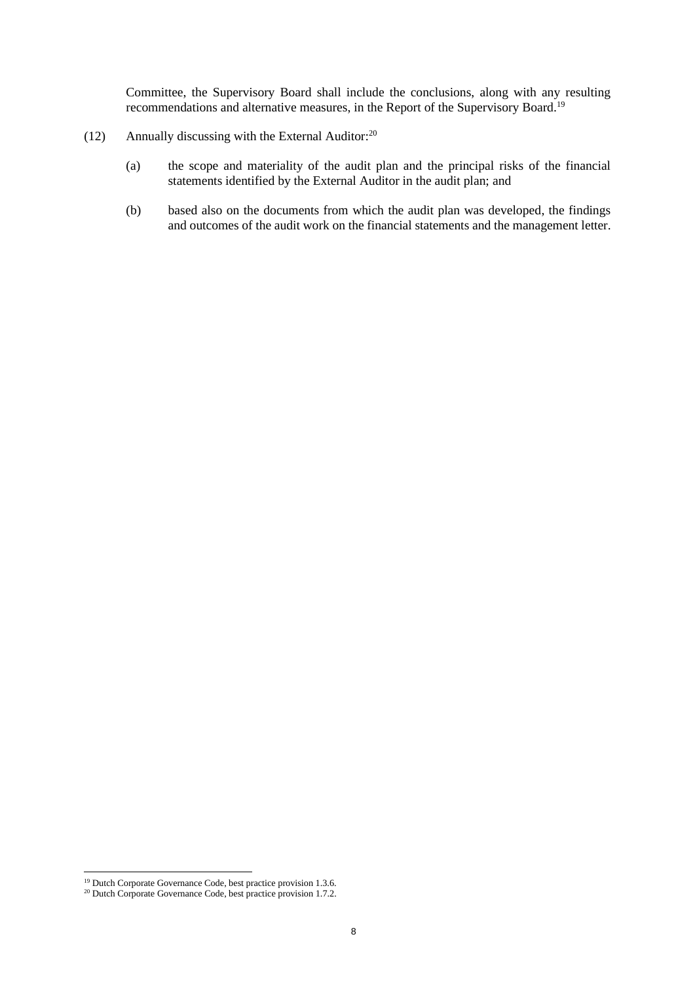Committee, the Supervisory Board shall include the conclusions, along with any resulting recommendations and alternative measures, in the Report of the Supervisory Board.<sup>19</sup>

- (12) Annually discussing with the External Auditor: $20$ 
	- (a) the scope and materiality of the audit plan and the principal risks of the financial statements identified by the External Auditor in the audit plan; and
	- (b) based also on the documents from which the audit plan was developed, the findings and outcomes of the audit work on the financial statements and the management letter.

<sup>&</sup>lt;sup>19</sup> Dutch Corporate Governance Code, best practice provision 1.3.6.

<sup>&</sup>lt;sup>20</sup> Dutch Corporate Governance Code, best practice provision 1.7.2.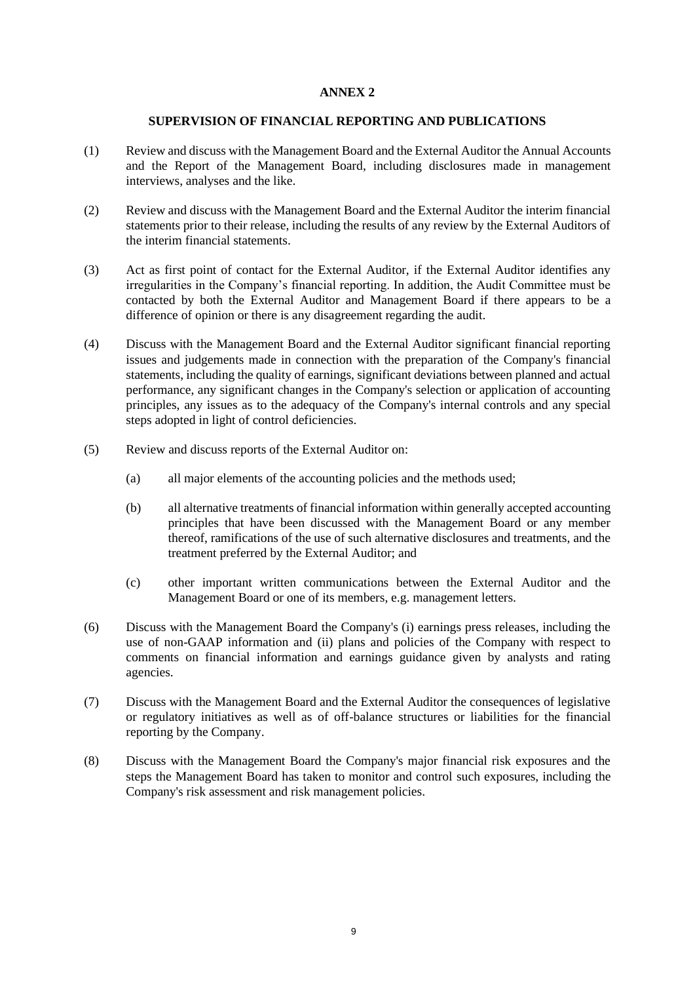#### **SUPERVISION OF FINANCIAL REPORTING AND PUBLICATIONS**

- <span id="page-8-0"></span>(1) Review and discuss with the Management Board and the External Auditor the Annual Accounts and the Report of the Management Board, including disclosures made in management interviews, analyses and the like.
- (2) Review and discuss with the Management Board and the External Auditor the interim financial statements prior to their release, including the results of any review by the External Auditors of the interim financial statements.
- (3) Act as first point of contact for the External Auditor, if the External Auditor identifies any irregularities in the Company's financial reporting. In addition, the Audit Committee must be contacted by both the External Auditor and Management Board if there appears to be a difference of opinion or there is any disagreement regarding the audit.
- (4) Discuss with the Management Board and the External Auditor significant financial reporting issues and judgements made in connection with the preparation of the Company's financial statements, including the quality of earnings, significant deviations between planned and actual performance, any significant changes in the Company's selection or application of accounting principles, any issues as to the adequacy of the Company's internal controls and any special steps adopted in light of control deficiencies.
- (5) Review and discuss reports of the External Auditor on:
	- (a) all major elements of the accounting policies and the methods used;
	- (b) all alternative treatments of financial information within generally accepted accounting principles that have been discussed with the Management Board or any member thereof, ramifications of the use of such alternative disclosures and treatments, and the treatment preferred by the External Auditor; and
	- (c) other important written communications between the External Auditor and the Management Board or one of its members, e.g. management letters.
- (6) Discuss with the Management Board the Company's (i) earnings press releases, including the use of non-GAAP information and (ii) plans and policies of the Company with respect to comments on financial information and earnings guidance given by analysts and rating agencies.
- (7) Discuss with the Management Board and the External Auditor the consequences of legislative or regulatory initiatives as well as of off-balance structures or liabilities for the financial reporting by the Company.
- (8) Discuss with the Management Board the Company's major financial risk exposures and the steps the Management Board has taken to monitor and control such exposures, including the Company's risk assessment and risk management policies.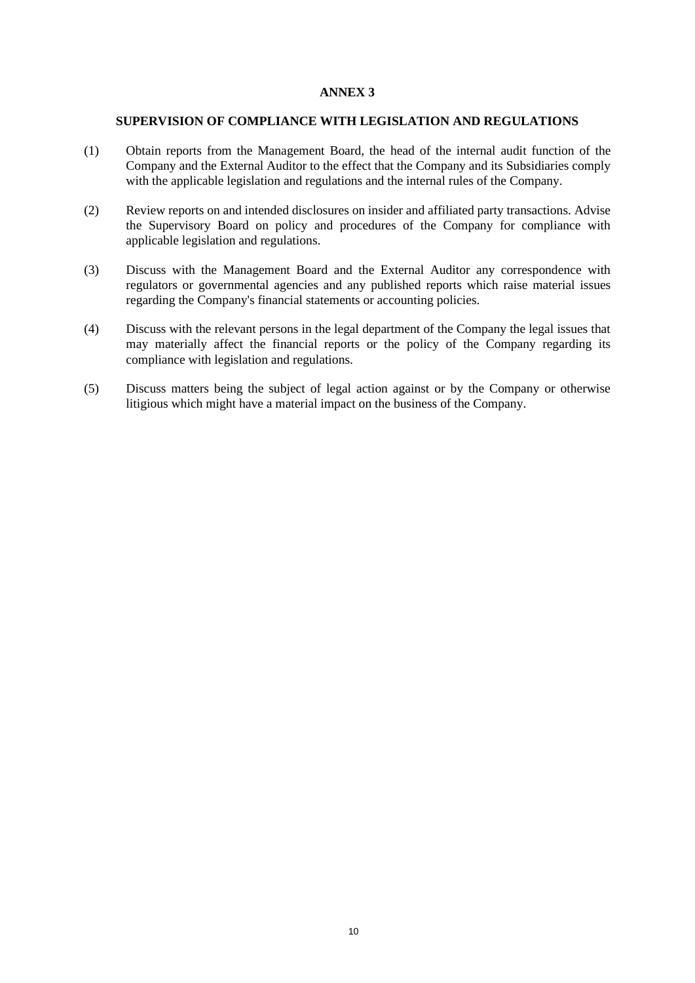#### <span id="page-9-0"></span>**SUPERVISION OF COMPLIANCE WITH LEGISLATION AND REGULATIONS**

- (1) Obtain reports from the Management Board, the head of the internal audit function of the Company and the External Auditor to the effect that the Company and its Subsidiaries comply with the applicable legislation and regulations and the internal rules of the Company.
- (2) Review reports on and intended disclosures on insider and affiliated party transactions. Advise the Supervisory Board on policy and procedures of the Company for compliance with applicable legislation and regulations.
- (3) Discuss with the Management Board and the External Auditor any correspondence with regulators or governmental agencies and any published reports which raise material issues regarding the Company's financial statements or accounting policies.
- (4) Discuss with the relevant persons in the legal department of the Company the legal issues that may materially affect the financial reports or the policy of the Company regarding its compliance with legislation and regulations.
- (5) Discuss matters being the subject of legal action against or by the Company or otherwise litigious which might have a material impact on the business of the Company.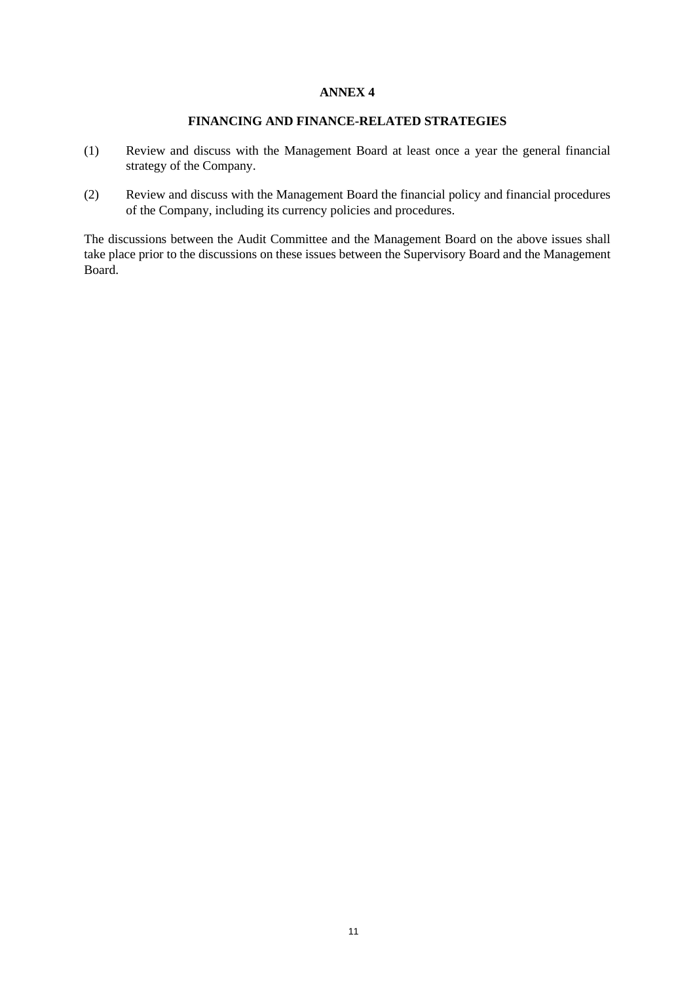# **FINANCING AND FINANCE-RELATED STRATEGIES**

- <span id="page-10-0"></span>(1) Review and discuss with the Management Board at least once a year the general financial strategy of the Company.
- (2) Review and discuss with the Management Board the financial policy and financial procedures of the Company, including its currency policies and procedures.

The discussions between the Audit Committee and the Management Board on the above issues shall take place prior to the discussions on these issues between the Supervisory Board and the Management Board.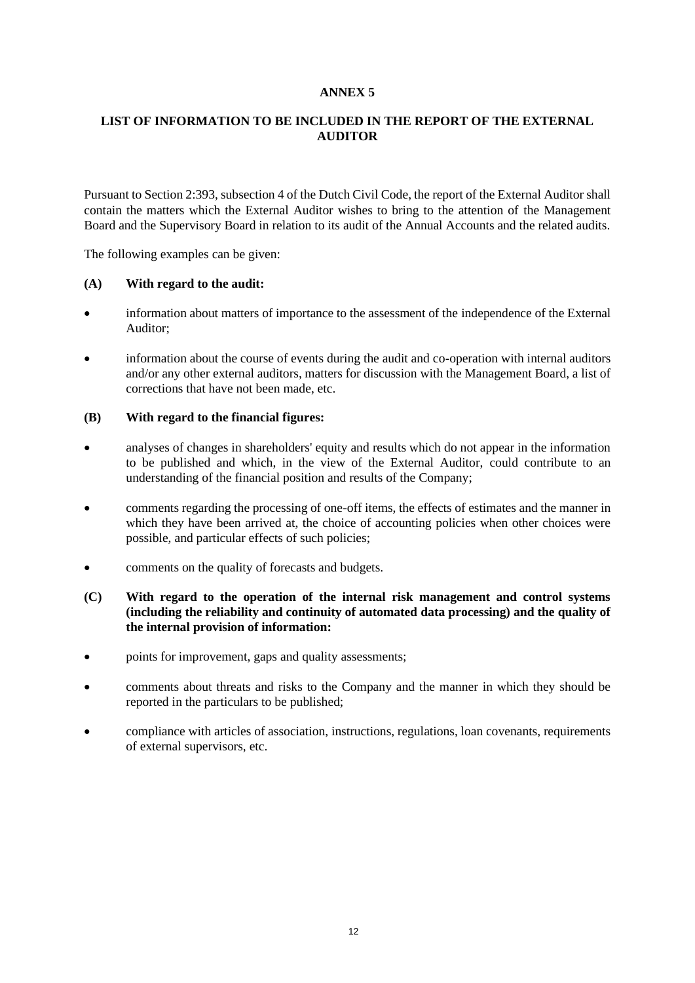# <span id="page-11-0"></span>**LIST OF INFORMATION TO BE INCLUDED IN THE REPORT OF THE EXTERNAL AUDITOR**

Pursuant to Section 2:393, subsection 4 of the Dutch Civil Code, the report of the External Auditor shall contain the matters which the External Auditor wishes to bring to the attention of the Management Board and the Supervisory Board in relation to its audit of the Annual Accounts and the related audits.

The following examples can be given:

# **(A) With regard to the audit:**

- information about matters of importance to the assessment of the independence of the External Auditor;
- information about the course of events during the audit and co-operation with internal auditors and/or any other external auditors, matters for discussion with the Management Board, a list of corrections that have not been made, etc.

# **(B) With regard to the financial figures:**

- analyses of changes in shareholders' equity and results which do not appear in the information to be published and which, in the view of the External Auditor, could contribute to an understanding of the financial position and results of the Company;
- comments regarding the processing of one-off items, the effects of estimates and the manner in which they have been arrived at, the choice of accounting policies when other choices were possible, and particular effects of such policies;
- comments on the quality of forecasts and budgets.
- **(C) With regard to the operation of the internal risk management and control systems (including the reliability and continuity of automated data processing) and the quality of the internal provision of information:**
- points for improvement, gaps and quality assessments;
- comments about threats and risks to the Company and the manner in which they should be reported in the particulars to be published;
- compliance with articles of association, instructions, regulations, loan covenants, requirements of external supervisors, etc.